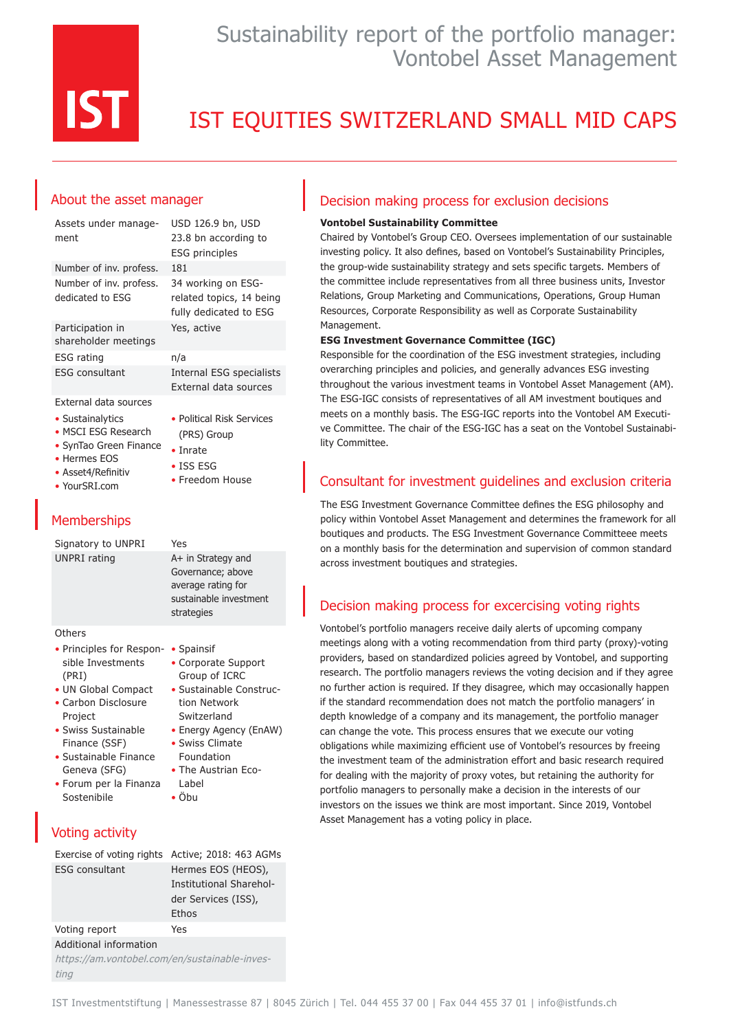

## Sustainability report of the portfolio manager: Vontobel Asset Management

# IST EQUITIES SWITZERLAND SMALL MID CAPS

### About the asset manager

| Assets under manage-<br>ment                                                                                             | USD 126.9 bn, USD<br>23.8 bn according to<br><b>ESG principles</b>                                   |
|--------------------------------------------------------------------------------------------------------------------------|------------------------------------------------------------------------------------------------------|
| Number of inv. profess.                                                                                                  | 181                                                                                                  |
| Number of inv. profess.<br>dedicated to ESG                                                                              | 34 working on ESG-<br>related topics, 14 being<br>fully dedicated to ESG                             |
| Participation in<br>shareholder meetings                                                                                 | Yes, active                                                                                          |
| ESG rating                                                                                                               | n/a                                                                                                  |
| <b>ESG consultant</b>                                                                                                    | <b>Internal ESG specialists</b><br>External data sources                                             |
| External data sources                                                                                                    |                                                                                                      |
| • Sustainalytics<br>• MSCI ESG Research<br>• SynTao Green Finance<br>• Hermes FOS<br>• Asset4/Refinitiv<br>• YourSRI.com | • Political Risk Services<br>(PRS) Group<br>$\bullet$ Inrate<br>$\bullet$ ISS ESG<br>• Freedom House |

### **Memberships**

| Signatory to UNPRI                                                                                                                                                                                                                        | Yes                                                                                                                                                                                                              |
|-------------------------------------------------------------------------------------------------------------------------------------------------------------------------------------------------------------------------------------------|------------------------------------------------------------------------------------------------------------------------------------------------------------------------------------------------------------------|
| <b>UNPRI</b> rating                                                                                                                                                                                                                       | A+ in Strategy and<br>Governance; above<br>average rating for<br>sustainable investment<br>strategies                                                                                                            |
| Others                                                                                                                                                                                                                                    |                                                                                                                                                                                                                  |
| • Principles for Respon-<br>sible Investments<br>(PRI)<br>• UN Global Compact<br>• Carbon Disclosure<br>Project<br>• Swiss Sustainable<br>Finance (SSF)<br>• Sustainable Finance<br>Geneva (SFG)<br>• Forum per la Finanza<br>Sostenibile | • Spainsif<br>• Corporate Support<br>Group of ICRC<br>• Sustainable Construc-<br>tion Network<br>Switzerland<br>• Energy Agency (EnAW)<br>• Swiss Climate<br>Foundation<br>• The Austrian Eco-<br>Label<br>• Öbu |
| <b>Voting activity</b>                                                                                                                                                                                                                    |                                                                                                                                                                                                                  |
| Exercise of voting rights                                                                                                                                                                                                                 | Active; 2018: 463 AGMs                                                                                                                                                                                           |
| <b>FSG consultant</b>                                                                                                                                                                                                                     | Hermes EOS (HEOS),<br>Institutional Sharehol-<br>der Services (ISS),<br>Ethos                                                                                                                                    |
| Voting report                                                                                                                                                                                                                             | Yes                                                                                                                                                                                                              |

### Additional information

https://am.vontobel.com/en/sustainable-investing

#### Decision making process for exclusion decisions

#### **Vontobel Sustainability Committee**

Chaired by Vontobel's Group CEO. Oversees implementation of our sustainable investing policy. It also defines, based on Vontobel's Sustainability Principles, the group-wide sustainability strategy and sets specific targets. Members of the committee include representatives from all three business units, Investor Relations, Group Marketing and Communications, Operations, Group Human Resources, Corporate Responsibility as well as Corporate Sustainability Management.

#### **ESG Investment Governance Committee (IGC)**

Responsible for the coordination of the ESG investment strategies, including overarching principles and policies, and generally advances ESG investing throughout the various investment teams in Vontobel Asset Management (AM). The ESG-IGC consists of representatives of all AM investment boutiques and meets on a monthly basis. The ESG-IGC reports into the Vontobel AM Executive Committee. The chair of the ESG-IGC has a seat on the Vontobel Sustainability Committee.

#### Consultant for investment guidelines and exclusion criteria

The ESG Investment Governance Committee defines the ESG philosophy and policy within Vontobel Asset Management and determines the framework for all boutiques and products. The ESG Investment Governance Committeee meets on a monthly basis for the determination and supervision of common standard across investment boutiques and strategies.

### Decision making process for excercising voting rights

Vontobel's portfolio managers receive daily alerts of upcoming company meetings along with a voting recommendation from third party (proxy)-voting providers, based on standardized policies agreed by Vontobel, and supporting research. The portfolio managers reviews the voting decision and if they agree no further action is required. If they disagree, which may occasionally happen if the standard recommendation does not match the portfolio managers' in depth knowledge of a company and its management, the portfolio manager can change the vote. This process ensures that we execute our voting obligations while maximizing efficient use of Vontobel's resources by freeing the investment team of the administration effort and basic research required for dealing with the majority of proxy votes, but retaining the authority for portfolio managers to personally make a decision in the interests of our investors on the issues we think are most important. Since 2019, Vontobel Asset Management has a voting policy in place.